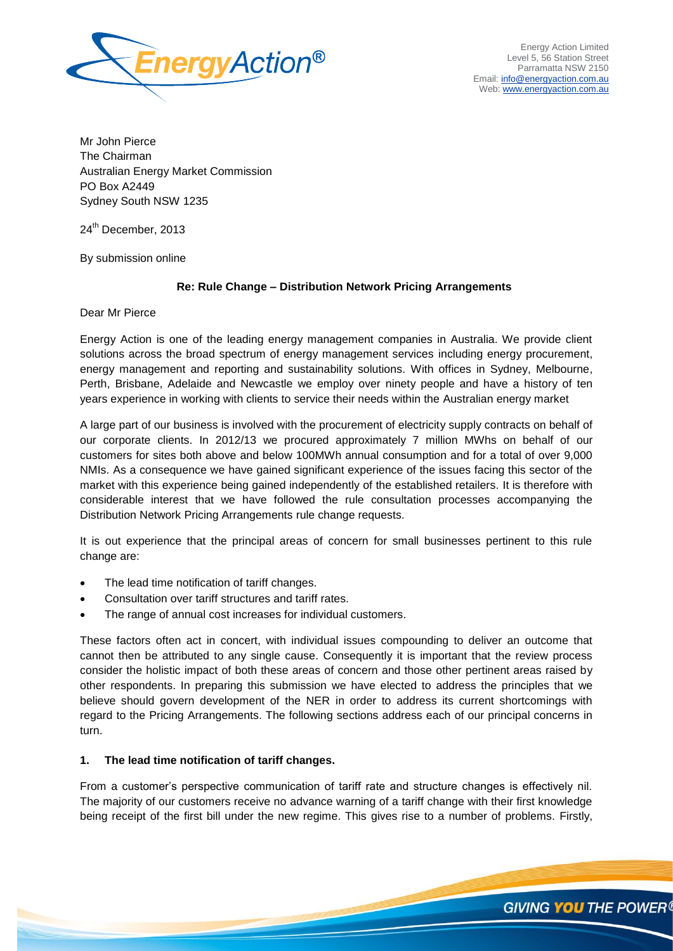

Mr John Pierce The Chairman Australian Energy Market Commission PO Box A2449 Sydney South NSW 1235

24<sup>th</sup> December, 2013

By submission online

# **Re: Rule Change – Distribution Network Pricing Arrangements**

Dear Mr Pierce

Energy Action is one of the leading energy management companies in Australia. We provide client solutions across the broad spectrum of energy management services including energy procurement, energy management and reporting and sustainability solutions. With offices in Sydney, Melbourne, Perth, Brisbane, Adelaide and Newcastle we employ over ninety people and have a history of ten years experience in working with clients to service their needs within the Australian energy market

A large part of our business is involved with the procurement of electricity supply contracts on behalf of our corporate clients. In 2012/13 we procured approximately 7 million MWhs on behalf of our customers for sites both above and below 100MWh annual consumption and for a total of over 9,000 NMIs. As a consequence we have gained significant experience of the issues facing this sector of the market with this experience being gained independently of the established retailers. It is therefore with considerable interest that we have followed the rule consultation processes accompanying the Distribution Network Pricing Arrangements rule change requests.

It is out experience that the principal areas of concern for small businesses pertinent to this rule change are:

- The lead time notification of tariff changes.
- Consultation over tariff structures and tariff rates.
- The range of annual cost increases for individual customers.

These factors often act in concert, with individual issues compounding to deliver an outcome that cannot then be attributed to any single cause. Consequently it is important that the review process consider the holistic impact of both these areas of concern and those other pertinent areas raised by other respondents. In preparing this submission we have elected to address the principles that we believe should govern development of the NER in order to address its current shortcomings with regard to the Pricing Arrangements. The following sections address each of our principal concerns in turn.

# **1. The lead time notification of tariff changes.**

From a customer's perspective communication of tariff rate and structure changes is effectively nil. The majority of our customers receive no advance warning of a tariff change with their first knowledge being receipt of the first bill under the new regime. This gives rise to a number of problems. Firstly,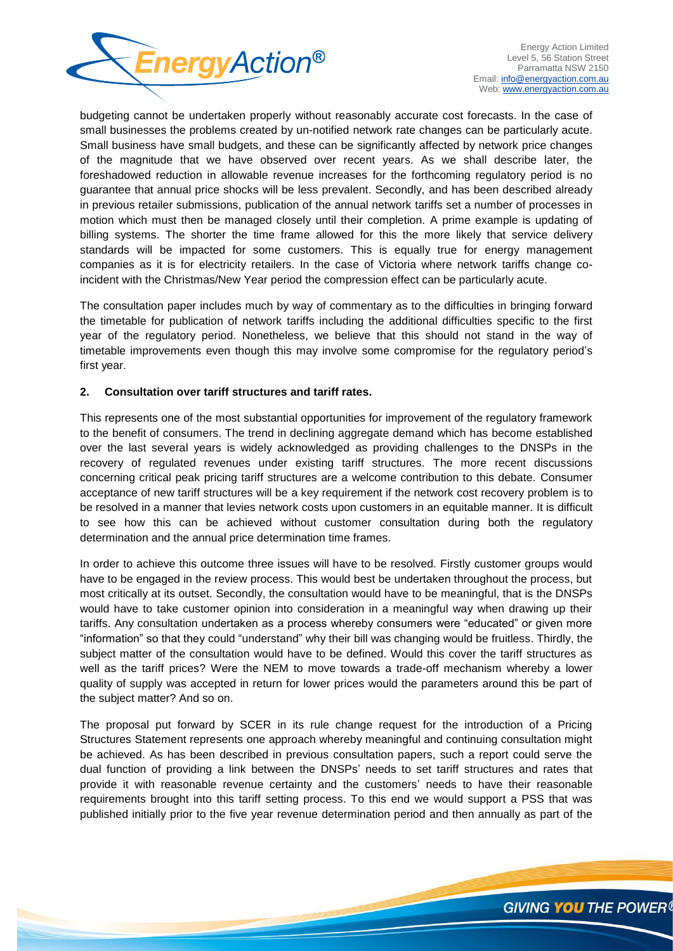

budgeting cannot be undertaken properly without reasonably accurate cost forecasts. In the case of small businesses the problems created by un-notified network rate changes can be particularly acute. Small business have small budgets, and these can be significantly affected by network price changes of the magnitude that we have observed over recent years. As we shall describe later, the foreshadowed reduction in allowable revenue increases for the forthcoming regulatory period is no guarantee that annual price shocks will be less prevalent. Secondly, and has been described already in previous retailer submissions, publication of the annual network tariffs set a number of processes in motion which must then be managed closely until their completion. A prime example is updating of billing systems. The shorter the time frame allowed for this the more likely that service delivery standards will be impacted for some customers. This is equally true for energy management companies as it is for electricity retailers. In the case of Victoria where network tariffs change coincident with the Christmas/New Year period the compression effect can be particularly acute.

The consultation paper includes much by way of commentary as to the difficulties in bringing forward the timetable for publication of network tariffs including the additional difficulties specific to the first year of the regulatory period. Nonetheless, we believe that this should not stand in the way of timetable improvements even though this may involve some compromise for the regulatory period's first year.

# **2. Consultation over tariff structures and tariff rates.**

This represents one of the most substantial opportunities for improvement of the regulatory framework to the benefit of consumers. The trend in declining aggregate demand which has become established over the last several years is widely acknowledged as providing challenges to the DNSPs in the recovery of regulated revenues under existing tariff structures. The more recent discussions concerning critical peak pricing tariff structures are a welcome contribution to this debate. Consumer acceptance of new tariff structures will be a key requirement if the network cost recovery problem is to be resolved in a manner that levies network costs upon customers in an equitable manner. It is difficult to see how this can be achieved without customer consultation during both the regulatory determination and the annual price determination time frames.

In order to achieve this outcome three issues will have to be resolved. Firstly customer groups would have to be engaged in the review process. This would best be undertaken throughout the process, but most critically at its outset. Secondly, the consultation would have to be meaningful, that is the DNSPs would have to take customer opinion into consideration in a meaningful way when drawing up their tariffs. Any consultation undertaken as a process whereby consumers were "educated" or given more "information" so that they could "understand" why their bill was changing would be fruitless. Thirdly, the subject matter of the consultation would have to be defined. Would this cover the tariff structures as well as the tariff prices? Were the NEM to move towards a trade-off mechanism whereby a lower quality of supply was accepted in return for lower prices would the parameters around this be part of the subject matter? And so on.

The proposal put forward by SCER in its rule change request for the introduction of a Pricing Structures Statement represents one approach whereby meaningful and continuing consultation might be achieved. As has been described in previous consultation papers, such a report could serve the dual function of providing a link between the DNSPs' needs to set tariff structures and rates that provide it with reasonable revenue certainty and the customers' needs to have their reasonable requirements brought into this tariff setting process. To this end we would support a PSS that was published initially prior to the five year revenue determination period and then annually as part of the

GIVING **YOU** THE POWER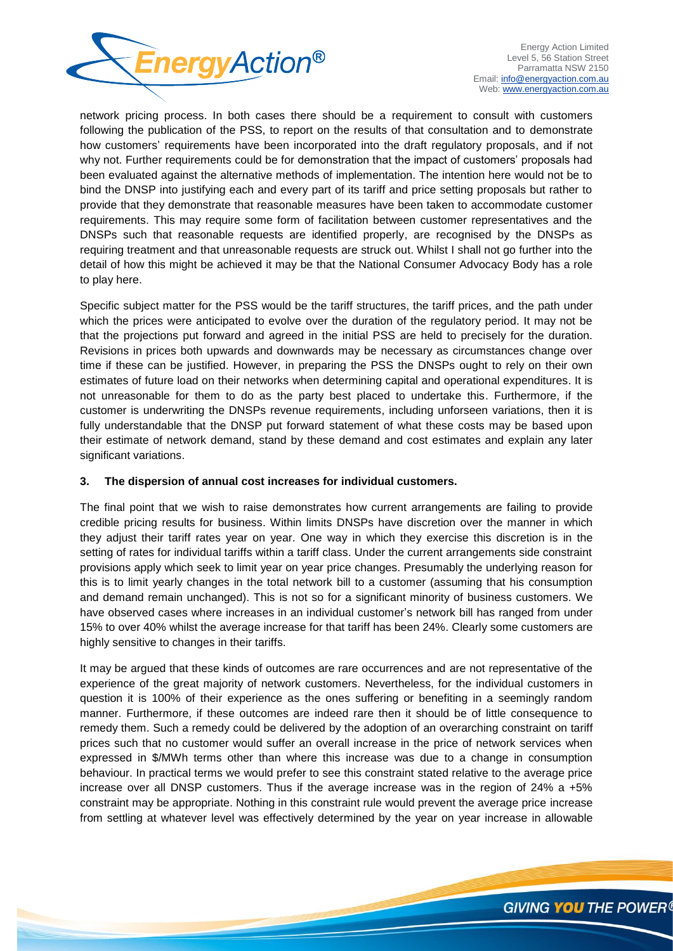

network pricing process. In both cases there should be a requirement to consult with customers following the publication of the PSS, to report on the results of that consultation and to demonstrate how customers' requirements have been incorporated into the draft regulatory proposals, and if not why not. Further requirements could be for demonstration that the impact of customers' proposals had been evaluated against the alternative methods of implementation. The intention here would not be to bind the DNSP into justifying each and every part of its tariff and price setting proposals but rather to provide that they demonstrate that reasonable measures have been taken to accommodate customer requirements. This may require some form of facilitation between customer representatives and the DNSPs such that reasonable requests are identified properly, are recognised by the DNSPs as requiring treatment and that unreasonable requests are struck out. Whilst I shall not go further into the detail of how this might be achieved it may be that the National Consumer Advocacy Body has a role to play here.

Specific subject matter for the PSS would be the tariff structures, the tariff prices, and the path under which the prices were anticipated to evolve over the duration of the regulatory period. It may not be that the projections put forward and agreed in the initial PSS are held to precisely for the duration. Revisions in prices both upwards and downwards may be necessary as circumstances change over time if these can be justified. However, in preparing the PSS the DNSPs ought to rely on their own estimates of future load on their networks when determining capital and operational expenditures. It is not unreasonable for them to do as the party best placed to undertake this. Furthermore, if the customer is underwriting the DNSPs revenue requirements, including unforseen variations, then it is fully understandable that the DNSP put forward statement of what these costs may be based upon their estimate of network demand, stand by these demand and cost estimates and explain any later significant variations.

## **3. The dispersion of annual cost increases for individual customers.**

The final point that we wish to raise demonstrates how current arrangements are failing to provide credible pricing results for business. Within limits DNSPs have discretion over the manner in which they adjust their tariff rates year on year. One way in which they exercise this discretion is in the setting of rates for individual tariffs within a tariff class. Under the current arrangements side constraint provisions apply which seek to limit year on year price changes. Presumably the underlying reason for this is to limit yearly changes in the total network bill to a customer (assuming that his consumption and demand remain unchanged). This is not so for a significant minority of business customers. We have observed cases where increases in an individual customer's network bill has ranged from under 15% to over 40% whilst the average increase for that tariff has been 24%. Clearly some customers are highly sensitive to changes in their tariffs.

It may be argued that these kinds of outcomes are rare occurrences and are not representative of the experience of the great majority of network customers. Nevertheless, for the individual customers in question it is 100% of their experience as the ones suffering or benefiting in a seemingly random manner. Furthermore, if these outcomes are indeed rare then it should be of little consequence to remedy them. Such a remedy could be delivered by the adoption of an overarching constraint on tariff prices such that no customer would suffer an overall increase in the price of network services when expressed in \$/MWh terms other than where this increase was due to a change in consumption behaviour. In practical terms we would prefer to see this constraint stated relative to the average price increase over all DNSP customers. Thus if the average increase was in the region of 24% a +5% constraint may be appropriate. Nothing in this constraint rule would prevent the average price increase from settling at whatever level was effectively determined by the year on year increase in allowable